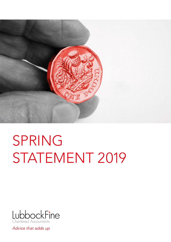

# SPRING STATEMENT 2019



Advice that adds up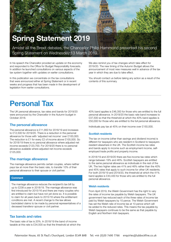

Amidst all the Brexit debates, the Chancellor Philip Hammond presented his second Spring Statement on Wednesday 13 March 2019.

In his speech the Chancellor provided an update on the economy and responded to the Office for Budget Responsibility forecasts. In addition he launched consultations on various aspects of the tax system together with updates on earlier consultations.

In this publication we concentrate on the tax consultations that were announced either at Spring Statement or in recent weeks and progress that has been made in the development of legislation from earlier consultations.

We also remind you of tax changes which take effect for 2019/20. The new timing of the Autumn Budget allows the announcement of most new measures well in advance of the tax year in which they are due to take effect.

You should contact us before taking any action as a result of the contents of this summary.

# **Personal Tax**

The UK personal allowance, tax rates and bands for 2019/20 were announced by the Chancellor in the Autumn budget in October 2018.

#### **The personal allowance**

The personal allowance is £11,850 for 2018/19 and increases to £12,500 for 2019/20. There is a reduction in the personal allowance for those with 'adjusted net income' over £100,000. The reduction is £1 for every £2 of income above £100,000. So for 2018/19 there is no personal allowance where adjusted net income exceeds £123,700. For 2019/20 there is no personal allowance available where adjusted net income exceeds £125,000.

#### **The marriage allowance**

The marriage allowance permits certain couples, where neither pays tax at more than the basic rate, to transfer 10% of their personal allowance to their spouse or civil partner.

#### **Comment**

The marriage allowance reduces the recipient's tax bill by up to £238 a year in 2018/19. The marriage allowance was first introduced for 2015/16 and there are many couples who are entitled to claim but have not yet done so. It is possible to claim for all years back to 2015/16 where the entitlement conditions are met. A recent change to the law allows backdated claims to be made by personal representatives of a deceased transferor spouse or civil partner.

#### **Tax bands and rates**

The basic rate of tax is 20%. In 2018/19 the band of income taxable at this rate is £34,500 so that the threshold at which the

40% band applies is £46,350 for those who are entitled to the full personal allowance. In 2019/20 the basic rate band increases to £37,500 so that the threshold at which the 40% band applies is £50,000 for those who are entitled to the full personal allowance.

Individuals pay tax at 45% on their income over £150,000.

#### **Scottish residents**

The tax on income (other than savings and dividend income) is different for taxpayers who are resident in Scotland to taxpayers resident elsewhere in the UK. The Scottish income tax rates and bands apply to income such as employment income, selfemployed trade profits and property income.

In 2018/19 and 2019/20 there are five income tax rates which range between 19% and 46%. Scottish taxpayers are entitled to the same personal allowance as individuals in the rest of the UK. The two higher rates are 41% and 46% rather than the 40% and 45% rates that apply to such income for other UK residents. For both 2018/19 and 2019/20, the threshold at which the 41% band applies is £43,430 for those who are entitled to the full personal allowance.

#### **Welsh residents**

From April 2019, the Welsh Government has the right to vary the rates of income tax payable by Welsh taxpayers. The UK government has reduced each of the three rates of income tax paid by Welsh taxpayers by 10 pence. The Welsh Government has set the Welsh rate of income tax at 10 pence which will be added to the reduced rates. This means the tax payable by Welsh taxpayers continues to be the same as that payable by English and Northern Irish taxpayers.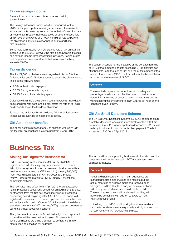#### **Tax on savings income**

Savings income is income such as bank and building society interest.

The Savings Allowance, which was first introduced for the 2016/17 tax year, applies to savings income and the available allowance in a tax year depends on the individual's marginal rate of income tax. Broadly, individuals taxed at up to the basic rate of tax have an allowance of £1,000. For higher rate taxpayers the allowance is £500. No allowance is due to additional rate taxpayers.

Some individuals qualify for a 0% starting rate of tax on savings income up to £5,000. However, the rate is not available if taxable non-savings income (broadly earnings, pensions, trading profits and property income less allocated allowances and reliefs) exceeds £5,000.

### **Tax on dividends**

The first £2,000 of dividends are chargeable to tax at 0% (the Dividend Allowance). Dividends received above the allowance are taxed at the following rates:

- 7.5% for basic rate taxpayers
- 32.5% for higher rate taxpayers
- 38.1% for additional rate taxpayers.

Dividends within the allowance still count towards an individual's basic or higher rate band and so may affect the rate of tax paid on dividends above the Dividend Allowance.

To determine which tax band dividends fall into, dividends are treated as the last type of income to be taxed.

#### **Gift Aid - donor benefits**

The donor benefits rules that apply to charities who claim Gift Aid tax relief on donations are simplified from 6 April 2019.



The benefit threshold for the first £100 of the donation remains at 25% of that amount. For gifts exceeding £100, charities can offer benefits up to the sum of £25 and 5% of the amount of the donation that exceeds £100. The total value of the benefit that a donor can receive remains at £2,500.

#### **Comment**

The new limits replace the current mix of monetary and percentage thresholds that charities have to consider when determining the value of benefit they can give to their donors without losing the entitlement to claim Gift Aid tax relief on the donations given to them.

#### **Gift Aid Small Donations Scheme**

The Gift Aid Small Donations Scheme (GASDS) applies to small charitable donations where it is impractical to obtain a Gift Aid declaration. GASDS currently applies to donations of £20 or less made by individuals in cash or contactless payment. The limit increases to £30 from 6 April 2019.

# **Business Tax**

### **Making Tax Digital for Business: VAT**

HMRC is phasing in its landmark Making Tax Digital (MTD) regime, which will ultimately require taxpayers to move to a fully digital tax system. Under the new rules, businesses with a taxable turnover above the VAT threshold (currently £85,000) must keep digital records for VAT purposes and provide their VAT return information to HMRC using MTD functional compatible software.

The new rules have effect from 1 April 2019 where a taxpayer has a 'prescribed accounting period' which begins on that date, or otherwise from the first day of a taxpayer's first prescribed accounting period beginning after 1 April 2019. For some VATregistered businesses with more complex requirements the rules will not have effect until 1 October 2019. Included in the deferred start date category are VAT divisions, VAT groups and businesses using the annual accounting scheme.

The government has now confirmed that a light touch approach to penalties will be taken in the first year of implementation. Where businesses are doing their best to comply, no filing or record keeping penalties will be issued.

The focus will be on supporting businesses to transition and the government will not be mandating MTD for any new taxes or businesses in 2020.

#### **Comment**

Keeping digital records will not mean businesses are mandated to use digital invoices and receipts but the actual recording of supplies made and received must be digital. It is likely that third party commercial software will be required. Software is not available from HMRC. The use of spreadsheets will be allowed, but they will have to be combined with add-on software to meet HMRC's requirements.

In the long run, HMRC is still looking to a scenario where income tax updates are made quarterly and digitally, and this is really what the VAT provisions anticipate.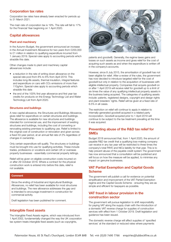### **Corporation tax rates**

Corporation tax rates have already been enacted for periods up to 31 March 2021.

The main rate of corporation tax is 19%. The rate will fall to 17% for the Financial Year beginning on 1 April 2020.

#### **Capital allowances**

#### **Plant and machinery**

In the Autumn Budget, the government announced an increase in the Annual Investment Allowance for two years from £200,000 to £1 million in relation to qualifying expenditure incurred from 1 January 2019. Special rules apply to accounting periods which straddle this date.

Other changes made to plant and machinery capital allowances include:

- a reduction in the rate of writing down allowance on the special rate pool from 8% to 6% from April 2019. This includes long-life assets, thermal insulation, integral features and expenditure on cars with CO2 emissions of more than 110g/km. Special rules apply to accounting periods which straddle this date
- the end of the 100% first year allowance and first year tax credits for products on the Energy Technology List and Water Technology List from April 2020.

#### **Structures and buildings**

A new capital allowance, the Structures and Buildings Allowance, gives relief for expenditure on certain structures and buildings. The allowance is available for new structures and buildings intended for commercial use, and the improvement of existing structures and buildings, including the cost of converting or renovating existing premises to qualifying use. Relief is limited to the original cost of construction or renovation and given across a fixed 50-year period, at an annual flat rate of 2% regardless of changes in ownership.

Only certain expenditure will qualify. The structures or buildings must be brought into use for qualifying activities. These include trades, professions or vocations and certain UK or overseas property businesses - essentially commercial property lettings.

Relief will be given on eligible construction costs incurred on or after 29 October 2018. Where a contract for the physical construction work is entered into before this date, relief is not available.

#### **Comment**

Since the ending of Industrial and Agricultural Buildings Allowances, no relief has been available for most structures and buildings. The new allowance addresses the gap and is intended to encourage investment in construction for commercial activity.

Draft legislation has been published for comment.

#### **Intangible fixed assets**

The Intangible Fixed Assets regime, which was introduced from 1 April 2002, fundamentally changed the way the UK corporation tax system treats intangible fixed assets (such as copyrights,



patents and goodwill). Generally, the regime taxes gains and losses on such assets as income and gives relief for the cost of acquiring such assets as and when the expenditure is written off in the company's accounts.

However, since 8 July 2015, the amortisation of goodwill has not been eligible for relief. After a review of the rules, the government has now decided to introduce targeted relief for the cost of goodwill but only in relation to the acquisition of businesses with eligible intellectual property. Companies that acquire goodwill on or after 1 April 2019 will receive relief for goodwill up to a limit of six times the value of any qualifying intellectual property assets in the business being acquired. The categories of qualifying assets include: patents, registered designs, copyright and design rights and plant breeders' rights. Relief will be given at a fixed rate of 6.5% in all cases.

The restriction on relief will continue to apply in relation to internally-generated goodwill acquired in a related party incorporation. Goodwill acquired prior to 1 April 2019 will continue to be subject to the tax treatment prevailing at the time it was acquired.

#### **Preventing abuse of the R&D tax relief for SMEs**

Budget 2018 announced that, from 1 April 2020, the amount of payable R&D tax credit that a qualifying loss-making company can receive in any tax year will be restricted to three times the company's total PAYE and NICs liability for that year. This is to help prevent abuse of the payable credit system The government has now announced that a consultation will be published and will focus on how the measure will be applied, to minimise any impact on genuine businesses.

#### **VAT Partial Exemption and Capital Goods Scheme**

The government will publish a call for evidence on potential simplification and improvement of the VAT Partial Exemption regime and the Capital Goods Scheme - ensuring they are as simple and efficient for taxpayers as possible.

#### **VAT fraud in labour provision in the construction sector**

The government will pursue legislation to shift responsibility for paying VAT along the supply chain with the introduction of a domestic VAT reverse charge for supplies of construction services with effect from 1 October 2019. Draft legislation and guidance has been issued.

The domestic reverse charge will affect supplies of 'specified services' at the standard or reduced rates where payments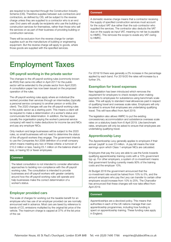are required to be reported through the Construction Industry Scheme (CIS). Therefore supplies between sub-contractors and contractors, as defined by CIS, will be subject to the reverse charge unless they are supplied to a contractor who is an end user. End users will usually be recipients who use the building or construction services for themselves, rather than those who sell the services on as part of their business of providing building or construction services.

There will be exclusion from the reverse charge for certain supplies such as the manufacture of building or engineering equipment. But the reverse charge will apply to goods, where those goods are supplied with the specified services.

#### **Comment**

A domestic reverse charge means that a contractor receiving the supply of specified construction services must account for the output VAT due rather than the sub-contractor who supplied the services. The contractor also deducts the VAT due on the supply as input VAT, meaning no net tax is payable to HMRC. This removes the scope to evade any VAT owing to HMRC.

# **Employment Taxes**

#### **Off-payroll working in the private sector**

The changes to the off-payroll working rules (commonly known as IR35) that came into effect in April 2017 for the public sector will be extended to the private sector from April 2020. A consultation paper has now been issued on the proposed operation of the rules.

The off-payroll working rules apply where an individual (the worker) provides their services through an intermediary (typically a personal service company) to another person or entity (the client). The 2020 changes will use the off-payroll working rules in the public sector as a starting point. This means a client will be required to make a determination of a worker's status and communicate that determination. In addition, the fee-payer (usually the organisation paying the worker's personal service company) will need to make deductions for income tax and NICs and pay any employer NICs.

Only medium and large businesses will be subject to the 2020 rules, so small businesses will not need to determine the status of the off-payroll workers they engage. The government intends to use the Companies Act 2006 definition of a small company which means meeting any two of these criteria: a turnover of £10.2 million or less, having £5.1 million on the balance sheet or less, or having 50 or fewer employees.

#### **Comment**

The latest consultation is not intended to consider alternative approaches to tackling non-compliance with the off-payroll working rules. The consultation is intended to provide businesses and off-payroll workers with greater certainty around how the off-payroll working rules will operate and help businesses make the correct determination of a worker's status.

#### **Employer provided cars**

The scale of charges for working out the taxable benefit for an employee who has use of an employer provided car are normally announced well in advance. Most cars are taxed by reference to bands of  $CO<sub>2</sub>$  emissions multiplied by the original list price of the vehicle. The maximum charge is capped at 37% of the list price of the car.

For 2018/19 there was generally a 2% increase in the percentage applied by each band. For 2019/20 the rates will increase by a further 3%.

#### **Exemption for travel expenses**

New legislation has been introduced which removes the requirement for employers to check receipts when making payments to employees for subsistence using benchmark scale rates. This will apply to standard meal allowances paid in respect of qualifying travel and overseas scale rates. Employers will only be asked to ensure that employees are undertaking qualifying travel. This will have effect from April 2019.

The legislation also allows HMRC to put the existing concessionary accommodation and subsistence overseas scale rates on a statutory basis from 6 April 2019. Like benchmark rates, employers will only be asked to ensure that employees are undertaking qualifying travel.

#### **Apprenticeship Levy**

The Apprenticeship Levy generally applies to employers if their annual 'paybill' is over £3 million. A pay bill means the total earnings upon which Class 1 employer NICs are calculated.

Employers that pay the Levy are able to use the funds towards qualifying apprenticeship training costs with a 10% government top up. For other employers, a system of co-investment means that government funding currently meets 90% of the training costs and the employer 10%.

At Budget 2018 the government announced that the co-investment rate would be halved from 10% to 5%, and the amount employers who pay the Levy can transfer to certain other employers would increase from 10% to 25%. The Chancellor has announced that these changes will now take effect from April 2019.

#### **Comment**

Apprenticeships are a devolved policy. This means that authorities in each of the UK nations manage their own apprenticeship programmes, including how funding is spent on apprenticeship training. These funding rules apply in England.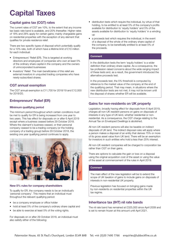# **Capital Taxes**

### **Capital gains tax (CGT) rates**

The current rates of CGT are 10%, to the extent that any income tax basic rate band is available, and 20% thereafter. Higher rates of 18% and 28% apply for certain gains; mainly chargeable gains on residential properties with the exception of any element that qualifies for private residence relief.

There are two specific types of disposal which potentially qualify for a 10% rate, both of which have a lifetime limit of £10 million for each individual:

- Entrepreneurs' Relief (ER). This is targeted at working directors and employees of companies who own at least 5% of the ordinary share capital in the company and the owners of unincorporated businesses
- Investors' Relief. The main beneficiaries of this relief are external investors in unquoted trading companies who have newly-subscribed shares.

### **CGT annual exemption**

The CGT annual exemption is £11,700 for 2018/19 and £12,000 for 2019/20.

### **Entrepreneurs' Relief (ER)**

#### **Minimum qualifying period**

The minimum period throughout which certain conditions must be met to qualify for ER is being increased from one year to two years. This has effect for disposals on or after 6 April 2019 except where a business ceased before 29 October 2018. Where the claimant's business ceased, or their personal company ceased to be a trading company (or the holding company of a trading group) before 29 October 2018, the existing one year qualifying period continues to apply.



#### **New 5% rules for company shareholders**

To qualify for ER, the company needs to be an individual's 'personal company'. This means that an individual must throughout the relevant qualifying period:

- be a company employee or office holder
- hold at least 5% of the company's ordinary share capital and
- be able to exercise at least 5% of the voting rights.

For disposals on or after 29 October 2018, an individual must also satisfy either of the following:

- distribution tests which require the individual, by virtue of that holding, to be entitled to at least 5% of the company's profits available for distribution to 'equity holders' and 5% of the assets available for distribution to 'equity holders' in a winding up
- a proceeds test which requires the individual, in the event of a disposal of the whole of the ordinary share capital of the company, to be beneficially entitled to at least 5% of the proceeds.

#### **Comment**

In the distribution tests the term 'equity holders' is a wider definition than ordinary share capital. As a consequence, the tax profession raised concerns about the wide ranging impact of these tests and, as a result, the government introduced the alternative proceeds test.

In the proceeds test, the 5% threshold is computed by reference to the market value of the company at the end of the qualifying period. That may mean, in situations where the new distribution tests are not met, it may not be known until the disposal of shares whether ER will be available.

### **Gains for non-residents on UK property**

Legislation, broadly having effect for disposals from 6 April 2019, charges all non-UK resident persons on gains on disposals of interests in any type of UK land, whether residential or nonresidential. As a consequence, the CGT charge relating to the Annual Tax on Enveloped Dwellings is abolished.

All non-UK resident persons will also be taxable on indirect disposals of UK land. The indirect disposal rules will apply where a person makes a disposal of an entity that derives 75% or more of its gross asset value from UK land. There will be an exemption for investors in such entities who hold a less than 25% interest.

All non-UK resident companies will be charged to corporation tax rather than CGT on their gains.

There are options to calculate the gain or loss on a disposal using the original acquisition cost of the asset or using the value of the asset at commencement of the rules in April 2019.

#### **Comment**

The main effect of the new legislation will be to extend the scope of UK taxation of gains to include gains on disposals of interests in non-residential UK property.

Previous legislation has focused on bringing gains made by non-residents on residential properties within the UK tax regime.

### **Inheritance tax (IHT) nil rate bands**

The nil rate band has remained at £325,000 since April 2009 and is set to remain frozen at this amount until April 2021.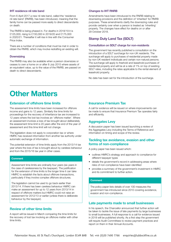#### **IHT residence nil rate band**

From 6 April 2017 a new nil rate band, called the 'residence nil rate band' (RNRB), has been introduced, meaning that the family home can be passed more easily to direct descendants on death.

The RNRB is being phased in. For deaths in 2018/19 it is £125,000, rising to £150,000 in 2019/20 and £175,000 in 2020/21. Thereafter it will rise in line with the Consumer Price Index.

There are a number of conditions that must be met in order to obtain the RNRB, which may involve redrafting an existing will.

#### **Downsizing**

The RNRB may also be available when a person downsizes or ceases to own a home on or after 8 July 2015 where assets of an equivalent value, up to the value of the RNRB, are passed on death to direct descendants.

#### **Changes to IHT RNRB**

Amendments have been introduced to the RNRB relating to downsizing provisions and the definition of 'inherited' for RNRB purposes. These amendments clarify the downsizing rules and provide certainty over when a person is treated as 'inheriting' property. The changes have effect for deaths on or after 29 October 2018.

#### **Stamp Duty Land Tax (SDLT)**

#### **Consultation on SDLT charge for non-residents**

The government has recently published a consultation on the introduction of a SDLT surcharge for non-UK residents. The surcharge will apply to purchases of residential property made by non-UK resident individuals and certain non-natural persons. The surcharge will apply to freehold and leasehold purchases of residential property and will be at a rate of 1% on top of existing SDLT rates, including the rates applicable to the rental element of leasehold property.

No date has been set for the introduction of the surcharge.

# **Other Matters**

#### **Extension of offshore time limits**

The assessment time limits have been increased for offshore income and gains to 12 years. Similarly the time limits for proceedings for the recovery of inheritance tax are increased to 12 years where the lost tax involves an 'offshore matter'. Where an assessment involves a loss of tax brought about deliberately the assessment time limit is 20 years after the end of the year of assessment and this time limit will not change.

The legislation does not apply to corporation tax or where HMRC has received information from another tax authority under automatic exchange of information.

The potential extension of time limits apply from the 2013/14 tax year where the loss of tax is brought about by careless behaviour and from the 2015/16 tax year in other cases.

#### **Comment**

Assessment time limits are ordinarily four years (six years in the case of carelessness by the taxpayer). The justification for the extension of time limits is the longer time it can take HMRC to establish the facts about offshore transactions, particularly if they involve complex offshore structures.

The legislation cannot be used to go back earlier than 2013/14. If there has been careless behaviour HMRC can make an assessment for up to 12 years from 2013/14 in respect of offshore matters but HMRC could not raise an assessment for 2012/13 or earlier (unless there is deliberate behaviour by the taxpayer).

### **Review of other time limits**

A report will be issued in March comparing the time limits for the recovery of lost tax involving an offshore matter with other time limits.

#### **Insurance Premium Tax**

A call for evidence will be issued on where improvements can be made to ensure that Insurance Premium Tax operates fairly and efficiently.

#### **Aggregates Levy**

A discussion paper has been issued launching a review of the Aggregates Levy including the Terms of Reference and information on timing and scope of the review.

#### **Tackling tax avoidance, evasion and other forms of non-compliance**

A policy paper has been issued which:

- outlines HMRC's strategy and approach to compliance for different taxpayer types
- details the government's record in addressing areas where risks of non-compliance have been identified
- provides a summary of the government's investment in HMRC and its commitment to further action.

#### **Comment**

The policy paper lists details of over 100 measures the government has introduced since 2010 covering avoidance, evasion and non-compliance.

#### **Late payments made to small businesses**

In his speech, the Chancellor announced that further action will be taken to tackle the issue of late payments by large businesses to small businesses. A full response to a call for evidence issued in 2018 will be published shortly. As a first step the government will require Audit Committees to review payment practices and report on them in their Annual Accounts.